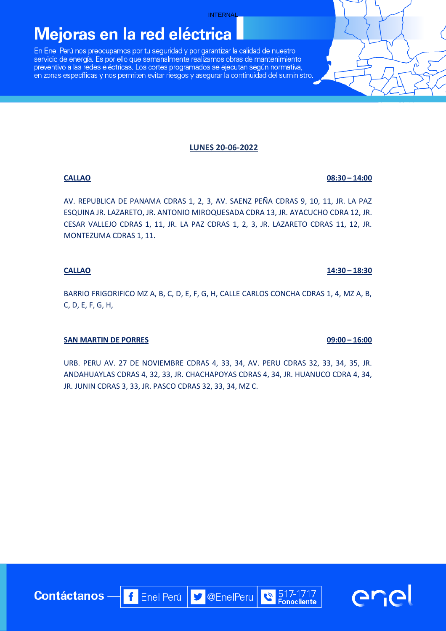# Mejoras en la red eléctrica

En Enel Perú nos preocupamos por tu seguridad y por garantizar la calidad de nuestro servicio de energía. Es por ello que semanalmente realizamos obras de mantenimiento preventivo a las redes eléctricas. Los cortes programados se ejecutan según normativa, en zonas específicas y nos permiten evitar riesgos y asegurar la continuidad del suministro.

### **LUNES 20-06-2022**

AV. REPUBLICA DE PANAMA CDRAS 1, 2, 3, AV. SAENZ PEÑA CDRAS 9, 10, 11, JR. LA PAZ ESQUINA JR. LAZARETO, JR. ANTONIO MIROQUESADA CDRA 13, JR. AYACUCHO CDRA 12, JR. CESAR VALLEJO CDRAS 1, 11, JR. LA PAZ CDRAS 1, 2, 3, JR. LAZARETO CDRAS 11, 12, JR. MONTEZUMA CDRAS 1, 11.

### **CALLAO 14:30 – 18:30**

BARRIO FRIGORIFICO MZ A, B, C, D, E, F, G, H, CALLE CARLOS CONCHA CDRAS 1, 4, MZ A, B, C, D, E, F, G, H,

## **SAN MARTIN DE PORRES** 09:00 – 16:00

URB. PERU AV. 27 DE NOVIEMBRE CDRAS 4, 33, 34, AV. PERU CDRAS 32, 33, 34, 35, JR. ANDAHUAYLAS CDRAS 4, 32, 33, JR. CHACHAPOYAS CDRAS 4, 34, JR. HUANUCO CDRA 4, 34, JR. JUNIN CDRAS 3, 33, JR. PASCO CDRAS 32, 33, 34, MZ C.

f Enel Perú | J @EnelPeru

**Contáctanos** 

517-1717

**Fonocliente** 

 $\tilde{\bm c}$ 

**CALLAO** 08:30 – 14:00

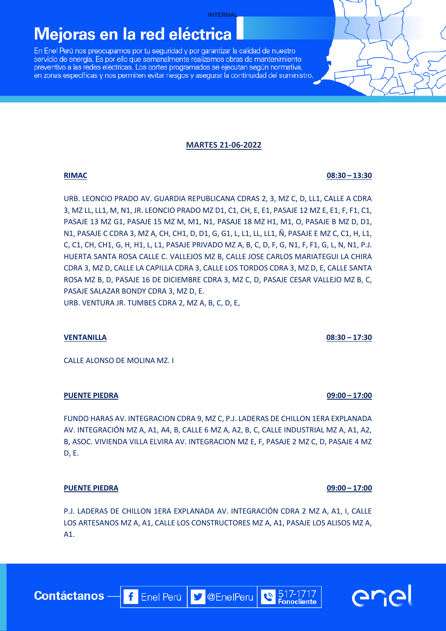## Mejoras en la red eléctrica

En Enel Perú nos preocupamos por tu seguridad y por garantizar la calidad de nuestro servicio de energía. Es por ello que semanalmente realizamos obras de mantenimiento preventivo a las redes eléctricas. Los cortes programados se ejecutan según normativa, en zonas específicas y nos permiten evitar riesgos y asegurar la continuidad del suministro.

### **MARTES 21-06-2022**

URB. LEONCIO PRADO AV. GUARDIA REPUBLICANA CDRAS 2, 3, MZ C, D, LL1, CALLE A CDRA 3, MZ LL, LL1, M, N1, JR. LEONCIO PRADO MZ D1, C1, CH, E, E1, PASAJE 12 MZ E, E1, F, F1, C1, PASAJE 13 MZ G1, PASAJE 15 MZ M, M1, N1, PASAJE 18 MZ H1, M1, O, PASAJE B MZ D, D1, N1, PASAJE C CDRA 3, MZ A, CH, CH1, D, D1, G, G1, L, L1, LL, LL1, Ñ, PASAJE E MZ C, C1, H, L1, C, C1, CH, CH1, G, H, H1, L, L1, PASAJE PRIVADO MZ A, B, C, D, F, G, N1, F, F1, G, L, N, N1, P.J. HUERTA SANTA ROSA CALLE C. VALLEJOS MZ B, CALLE JOSE CARLOS MARIATEGUI LA CHIRA CDRA 3, MZ D, CALLE LA CAPILLA CDRA 3, CALLE LOS TORDOS CDRA 3, MZ D, E, CALLE SANTA ROSA MZ B, D, PASAJE 16 DE DICIEMBRE CDRA 3, MZ C, D, PASAJE CESAR VALLEJO MZ B, C, PASAJE SALAZAR BONDY CDRA 3, MZ D, E. URB. VENTURA JR. TUMBES CDRA 2, MZ A, B, C, D, E,

#### **VENTANILLA 08:30 – 17:30**

CALLE ALONSO DE MOLINA MZ. I

#### **PUENTE PIEDRA 09:00 – 17:00**

FUNDO HARAS AV. INTEGRACION CDRA 9, MZ C, P.J. LADERAS DE CHILLON 1ERA EXPLANADA AV. INTEGRACIÓN MZ A, A1, A4, B, CALLE 6 MZ A, A2, B, C, CALLE INDUSTRIAL MZ A, A1, A2, B, ASOC. VIVIENDA VILLA ELVIRA AV. INTEGRACION MZ E, F, PASAJE 2 MZ C, D, PASAJE 4 MZ D, E.

#### **PUENTE PIEDRA 09:00 – 17:00**

P.J. LADERAS DE CHILLON 1ERA EXPLANADA AV. INTEGRACIÓN CDRA 2 MZ A, A1, I, CALLE LOS ARTESANOS MZ A, A1, CALLE LOS CONSTRUCTORES MZ A, A1, PASAJE LOS ALISOS MZ A, A1.

**D** @EnelPeru

**f** Enel Perú



**RIMAC** 08:30 – 13:30

517-1717

**Fonocliente** 

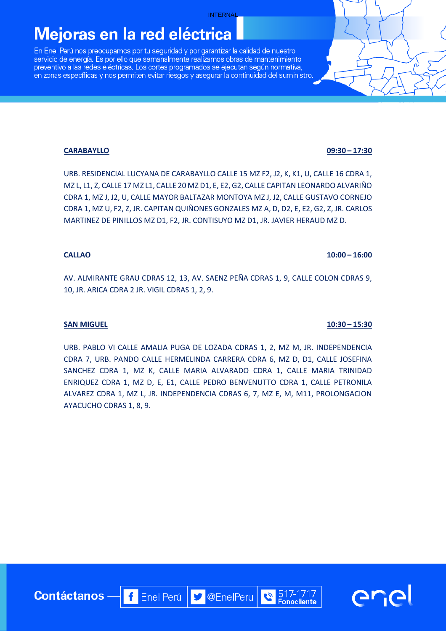# Mejoras en la red eléctrica

En Enel Perú nos preocupamos por tu seguridad y por garantizar la calidad de nuestro servicio de energía. Es por ello que semanalmente realizamos obras de mantenimiento preventivo a las redes eléctricas. Los cortes programados se ejecutan según normativa, en zonas específicas y nos permiten evitar riesgos y asegurar la continuidad del suministro.

### **CARABAYLLO 09:30 – 17:30**

URB. RESIDENCIAL LUCYANA DE CARABAYLLO CALLE 15 MZ F2, J2, K, K1, U, CALLE 16 CDRA 1, MZ L, L1, Z, CALLE 17 MZ L1, CALLE 20 MZ D1, E, E2, G2, CALLE CAPITAN LEONARDO ALVARIÑO CDRA 1, MZ J, J2, U, CALLE MAYOR BALTAZAR MONTOYA MZ J, J2, CALLE GUSTAVO CORNEJO CDRA 1, MZ U, F2, Z, JR. CAPITAN QUIÑONES GONZALES MZ A, D, D2, E, E2, G2, Z, JR. CARLOS MARTINEZ DE PINILLOS MZ D1, F2, JR. CONTISUYO MZ D1, JR. JAVIER HERAUD MZ D.

#### **CALLAO 10:00 – 16:00**

AV. ALMIRANTE GRAU CDRAS 12, 13, AV. SAENZ PEÑA CDRAS 1, 9, CALLE COLON CDRAS 9, 10, JR. ARICA CDRA 2 JR. VIGIL CDRAS 1, 2, 9.

## **SAN MIGUEL 10:30 – 15:30**

URB. PABLO VI CALLE AMALIA PUGA DE LOZADA CDRAS 1, 2, MZ M, JR. INDEPENDENCIA CDRA 7, URB. PANDO CALLE HERMELINDA CARRERA CDRA 6, MZ D, D1, CALLE JOSEFINA SANCHEZ CDRA 1, MZ K, CALLE MARIA ALVARADO CDRA 1, CALLE MARIA TRINIDAD ENRIQUEZ CDRA 1, MZ D, E, E1, CALLE PEDRO BENVENUTTO CDRA 1, CALLE PETRONILA ALVAREZ CDRA 1, MZ L, JR. INDEPENDENCIA CDRAS 6, 7, MZ E, M, M11, PROLONGACION AYACUCHO CDRAS 1, 8, 9.

f Enel Perú | J @EnelPeru

517-1717

**Fonocliente** 

**Contáctanos** 

**GL'G** 

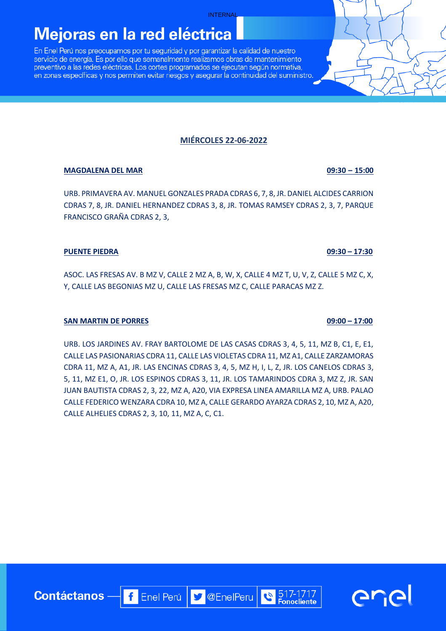# Mejoras en la red eléctrica

En Enel Perú nos preocupamos por tu seguridad y por garantizar la calidad de nuestro servicio de energía. Es por ello que semanalmente realizamos obras de mantenimiento preventivo a las redes eléctricas. Los cortes programados se ejecutan según normativa, en zonas específicas y nos permiten evitar riesgos y asegurar la continuidad del suministro.

## **MIÉRCOLES 22-06-2022**

### **MAGDALENA DEL MAR 09:30 – 15:00**

URB. PRIMAVERA AV. MANUEL GONZALES PRADA CDRAS 6, 7, 8, JR. DANIEL ALCIDES CARRION CDRAS 7, 8, JR. DANIEL HERNANDEZ CDRAS 3, 8, JR. TOMAS RAMSEY CDRAS 2, 3, 7, PARQUE FRANCISCO GRAÑA CDRAS 2, 3,

#### **PUENTE PIEDRA 09:30 – 17:30**

ASOC. LAS FRESAS AV. B MZ V, CALLE 2 MZ A, B, W, X, CALLE 4 MZ T, U, V, Z, CALLE 5 MZ C, X, Y, CALLE LAS BEGONIAS MZ U, CALLE LAS FRESAS MZ C, CALLE PARACAS MZ Z.

## **SAN MARTIN DE PORRES 09:00 – 17:00**

URB. LOS JARDINES AV. FRAY BARTOLOME DE LAS CASAS CDRAS 3, 4, 5, 11, MZ B, C1, E, E1, CALLE LAS PASIONARIAS CDRA 11, CALLE LAS VIOLETAS CDRA 11, MZ A1, CALLE ZARZAMORAS CDRA 11, MZ A, A1, JR. LAS ENCINAS CDRAS 3, 4, 5, MZ H, I, L, Z, JR. LOS CANELOS CDRAS 3, 5, 11, MZ E1, O, JR. LOS ESPINOS CDRAS 3, 11, JR. LOS TAMARINDOS CDRA 3, MZ Z, JR. SAN JUAN BAUTISTA CDRAS 2, 3, 22, MZ A, A20, VIA EXPRESA LINEA AMARILLA MZ A, URB. PALAO CALLE FEDERICO WENZARA CDRA 10, MZ A, CALLE GERARDO AYARZA CDRAS 2, 10, MZ A, A20, CALLE ALHELIES CDRAS 2, 3, 10, 11, MZ A, C, C1.

f Enel Perú | J @EnelPeru

**Contáctanos** 



**GriG** 

517-1717

**Fonocliente**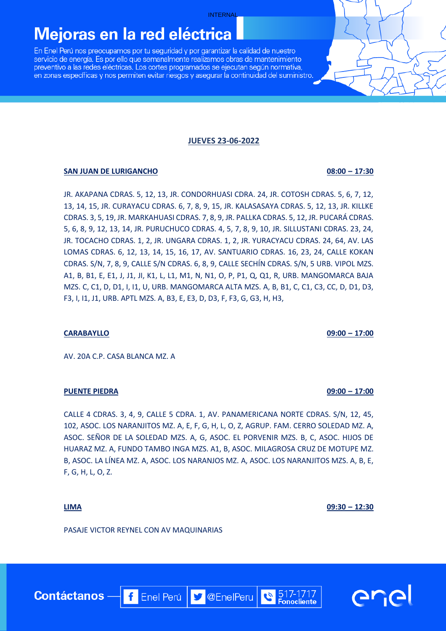## Mejoras en la red eléctrica

En Enel Perú nos preocupamos por tu seguridad y por garantizar la calidad de nuestro servicio de energía. Es por ello que semanalmente realizamos obras de mantenimiento preventivo a las redes eléctricas. Los cortes programados se ejecutan según normativa, en zonas específicas y nos permiten evitar riesgos y asegurar la continuidad del suministro.

#### **JUEVES 23-06-2022**

#### **SAN JUAN DE LURIGANCHO 08:00 – 17:30**

JR. AKAPANA CDRAS. 5, 12, 13, JR. CONDORHUASI CDRA. 24, JR. COTOSH CDRAS. 5, 6, 7, 12, 13, 14, 15, JR. CURAYACU CDRAS. 6, 7, 8, 9, 15, JR. KALASASAYA CDRAS. 5, 12, 13, JR. KILLKE CDRAS. 3, 5, 19, JR. MARKAHUASI CDRAS. 7, 8, 9, JR. PALLKA CDRAS. 5, 12, JR. PUCARÁ CDRAS. 5, 6, 8, 9, 12, 13, 14, JR. PURUCHUCO CDRAS. 4, 5, 7, 8, 9, 10, JR. SILLUSTANI CDRAS. 23, 24, JR. TOCACHO CDRAS. 1, 2, JR. UNGARA CDRAS. 1, 2, JR. YURACYACU CDRAS. 24, 64, AV. LAS LOMAS CDRAS. 6, 12, 13, 14, 15, 16, 17, AV. SANTUARIO CDRAS. 16, 23, 24, CALLE KOKAN CDRAS. S/N, 7, 8, 9, CALLE S/N CDRAS. 6, 8, 9, CALLE SECHÍN CDRAS. S/N, 5 URB. VIPOL MZS. A1, B, B1, E, E1, J, J1, JI, K1, L, L1, M1, N, N1, O, P, P1, Q, Q1, R, URB. MANGOMARCA BAJA MZS. C, C1, D, D1, I, I1, U, URB. MANGOMARCA ALTA MZS. A, B, B1, C, C1, C3, CC, D, D1, D3, F3, I, I1, J1, URB. APTL MZS. A, B3, E, E3, D, D3, F, F3, G, G3, H, H3,

AV. 20A C.P. CASA BLANCA MZ. A

#### **PUENTE PIEDRA 09:00 – 17:00**

CALLE 4 CDRAS. 3, 4, 9, CALLE 5 CDRA. 1, AV. PANAMERICANA NORTE CDRAS. S/N, 12, 45, 102, ASOC. LOS NARANJITOS MZ. A, E, F, G, H, L, O, Z, AGRUP. FAM. CERRO SOLEDAD MZ. A, ASOC. SEÑOR DE LA SOLEDAD MZS. A, G, ASOC. EL PORVENIR MZS. B, C, ASOC. HIJOS DE HUARAZ MZ. A, FUNDO TAMBO INGA MZS. A1, B, ASOC. MILAGROSA CRUZ DE MOTUPE MZ. B, ASOC. LA LÍNEA MZ. A, ASOC. LOS NARANJOS MZ. A, ASOC. LOS NARANJITOS MZS. A, B, E, F, G, H, L, O, Z.

**V** @EnelPeru

**Contáctanos** 

PASAJE VICTOR REYNEL CON AV MAQUINARIAS

 $\left| \cdot \right|$  Enel Perú

**CARABAYLLO 09:00 – 17:00**

**LIMA 09:30 – 12:30**

517-1717

**Fonocliente**